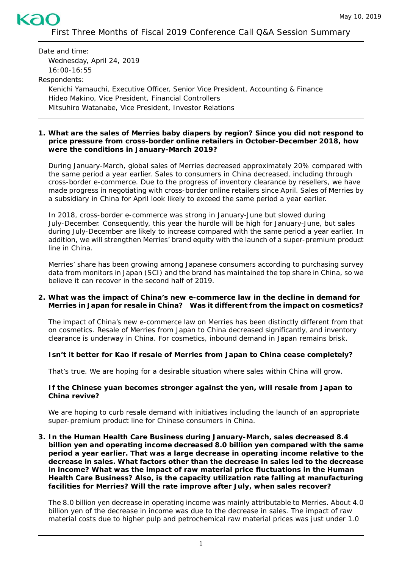# First Three Months of Fiscal 2019 Conference Call Q&A Session Summary

Date and time: Wednesday, April 24, 2019 16:00-16:55 Respondents: Kenichi Yamauchi, Executive Officer, Senior Vice President, Accounting & Finance Hideo Makino, Vice President, Financial Controllers Mitsuhiro Watanabe, Vice President, Investor Relations

ka

#### **1. What are the sales of** *Merries* **baby diapers by region? Since you did not respond to price pressure from cross-border online retailers in October-December 2018, how were the conditions in January-March 2019?**

During January-March, global sales of *Merries* decreased approximately 20% compared with the same period a year earlier. Sales to consumers in China decreased, including through cross-border e-commerce. Due to the progress of inventory clearance by resellers, we have made progress in negotiating with cross-border online retailers since April. Sales of *Merries* by a subsidiary in China for April look likely to exceed the same period a year earlier.

In 2018, cross-border e-commerce was strong in January-June but slowed during July-December. Consequently, this year the hurdle will be high for January-June, but sales during July-December are likely to increase compared with the same period a year earlier. In addition, we will strengthen *Merries'* brand equity with the launch of a super-premium product line in China.

*Merries'* share has been growing among Japanese consumers according to purchasing survey data from monitors in Japan (SCI) and the brand has maintained the top share in China, so we believe it can recover in the second half of 2019.

#### **2. What was the impact of China's new e-commerce law in the decline in demand for** *Merries* **in Japan for resale in China? Was it different from the impact on cosmetics?**

The impact of China's new e-commerce law on *Merries* has been distinctly different from that on cosmetics. Resale of *Merries* from Japan to China decreased significantly, and inventory clearance is underway in China. For cosmetics, inbound demand in Japan remains brisk.

#### **Isn't it better for Kao if resale of** *Merries* **from Japan to China cease completely?**

That's true. We are hoping for a desirable situation where sales within China will grow.

#### **If the Chinese yuan becomes stronger against the yen, will resale from Japan to China revive?**

We are hoping to curb resale demand with initiatives including the launch of an appropriate super-premium product line for Chinese consumers in China.

**3. In the Human Health Care Business during January-March, sales decreased 8.4 billion yen and operating income decreased 8.0 billion yen compared with the same period a year earlier. That was a large decrease in operating income relative to the decrease in sales. What factors other than the decrease in sales led to the decrease in income? What was the impact of raw material price fluctuations in the Human Health Care Business? Also, is the capacity utilization rate falling at manufacturing facilities for** *Merries***? Will the rate improve after July, when sales recover?** 

The 8.0 billion yen decrease in operating income was mainly attributable to *Merries*. About 4.0 billion yen of the decrease in income was due to the decrease in sales. The impact of raw material costs due to higher pulp and petrochemical raw material prices was just under 1.0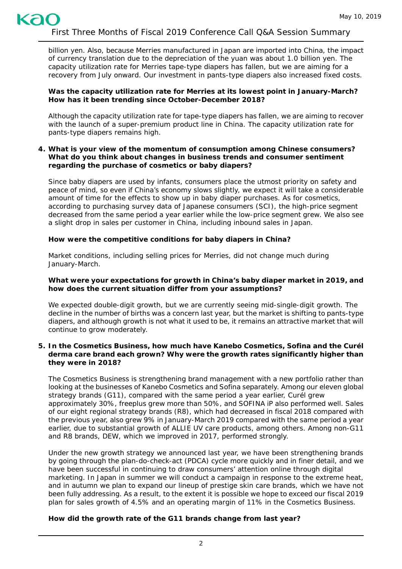billion yen. Also, because *Merries* manufactured in Japan are imported into China, the impact of currency translation due to the depreciation of the yuan was about 1.0 billion yen. The capacity utilization rate for *Merries* tape-type diapers has fallen, but we are aiming for a recovery from July onward. Our investment in pants-type diapers also increased fixed costs.

## **Was the capacity utilization rate for** *Merries* **at its lowest point in January-March? How has it been trending since October-December 2018?**

Although the capacity utilization rate for tape-type diapers has fallen, we are aiming to recover with the launch of a super-premium product line in China. The capacity utilization rate for pants-type diapers remains high.

## **4. What is your view of the momentum of consumption among Chinese consumers? What do you think about changes in business trends and consumer sentiment regarding the purchase of cosmetics or baby diapers?**

Since baby diapers are used by infants, consumers place the utmost priority on safety and peace of mind, so even if China's economy slows slightly, we expect it will take a considerable amount of time for the effects to show up in baby diaper purchases. As for cosmetics, according to purchasing survey data of Japanese consumers (SCI), the high-price segment decreased from the same period a year earlier while the low-price segment grew. We also see a slight drop in sales per customer in China, including inbound sales in Japan.

# **How were the competitive conditions for baby diapers in China?**

Market conditions, including selling prices for *Merries*, did not change much during January-March.

## **What were your expectations for growth in China's baby diaper market in 2019, and how does the current situation differ from your assumptions?**

We expected double-digit growth, but we are currently seeing mid-single-digit growth. The decline in the number of births was a concern last year, but the market is shifting to pants-type diapers, and although growth is not what it used to be, it remains an attractive market that will continue to grow moderately.

## **5. In the Cosmetics Business, how much have Kanebo Cosmetics, Sofina and the** *Curél* **derma care brand each grown? Why were the growth rates significantly higher than they were in 2018?**

The Cosmetics Business is strengthening brand management with a new portfolio rather than looking at the businesses of Kanebo Cosmetics and Sofina separately. Among our eleven global strategy brands (G11), compared with the same period a year earlier, *Curél* grew approximately 30%, *freeplus* grew more than 50%, and *SOFINA iP* also performed well. Sales of our eight regional strategy brands (R8), which had decreased in fiscal 2018 compared with the previous year, also grew 9% in January-March 2019 compared with the same period a year earlier, due to substantial growth of *ALLIE* UV care products, among others. Among non-G11 and R8 brands, *DEW*, which we improved in 2017, performed strongly.

Under the new growth strategy we announced last year, we have been strengthening brands by going through the plan-do-check-act (PDCA) cycle more quickly and in finer detail, and we have been successful in continuing to draw consumers' attention online through digital marketing. In Japan in summer we will conduct a campaign in response to the extreme heat, and in autumn we plan to expand our lineup of prestige skin care brands, which we have not been fully addressing. As a result, to the extent it is possible we hope to exceed our fiscal 2019 plan for sales growth of 4.5% and an operating margin of 11% in the Cosmetics Business.

# **How did the growth rate of the G11 brands change from last year?**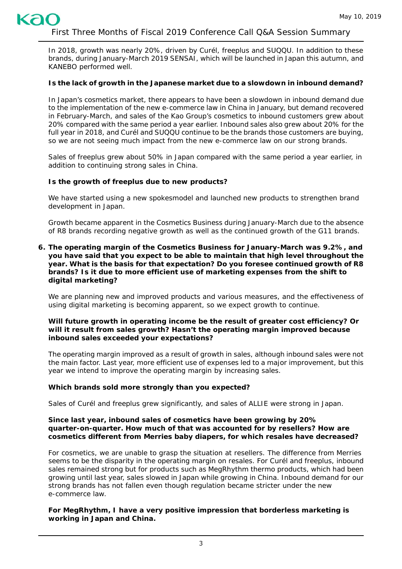In 2018, growth was nearly 20%, driven by *Curél*, *freeplus* and *SUQQU*. In addition to these brands, during January-March 2019 *SENSAI*, which will be launched in Japan this autumn, and *KANEBO* performed well.

# **Is the lack of growth in the Japanese market due to a slowdown in inbound demand?**

In Japan's cosmetics market, there appears to have been a slowdown in inbound demand due to the implementation of the new e-commerce law in China in January, but demand recovered in February-March, and sales of the Kao Group's cosmetics to inbound customers grew about 20% compared with the same period a year earlier. Inbound sales also grew about 20% for the full year in 2018, and *Curél* and *SUQQU* continue to be the brands those customers are buying, so we are not seeing much impact from the new e-commerce law on our strong brands.

Sales of *freeplus* grew about 50% in Japan compared with the same period a year earlier, in addition to continuing strong sales in China.

# **Is the growth of** *freeplus* **due to new products?**

We have started using a new spokesmodel and launched new products to strengthen brand development in Japan.

Growth became apparent in the Cosmetics Business during January-March due to the absence of R8 brands recording negative growth as well as the continued growth of the G11 brands.

**6. The operating margin of the Cosmetics Business for January-March was 9.2%, and you have said that you expect to be able to maintain that high level throughout the year. What is the basis for that expectation? Do you foresee continued growth of R8 brands? Is it due to more efficient use of marketing expenses from the shift to digital marketing?**

We are planning new and improved products and various measures, and the effectiveness of using digital marketing is becoming apparent, so we expect growth to continue.

## **Will future growth in operating income be the result of greater cost efficiency? Or will it result from sales growth? Hasn't the operating margin improved because inbound sales exceeded your expectations?**

The operating margin improved as a result of growth in sales, although inbound sales were not the main factor. Last year, more efficient use of expenses led to a major improvement, but this year we intend to improve the operating margin by increasing sales.

# **Which brands sold more strongly than you expected?**

Sales of *Curél* and *freeplus* grew significantly, and sales of *ALLIE* were strong in Japan.

#### **Since last year, inbound sales of cosmetics have been growing by 20% quarter-on-quarter. How much of that was accounted for by resellers? How are cosmetics different from** *Merries* **baby diapers, for which resales have decreased?**

For cosmetics, we are unable to grasp the situation at resellers. The difference from *Merries* seems to be the disparity in the operating margin on resales. For *Curél* and *freeplus,* inbound sales remained strong but for products such as *MegRhythm* thermo products, which had been growing until last year, sales slowed in Japan while growing in China. Inbound demand for our strong brands has not fallen even though regulation became stricter under the new e-commerce law.

**For** *MegRhythm***, I have a very positive impression that borderless marketing is working in Japan and China.**